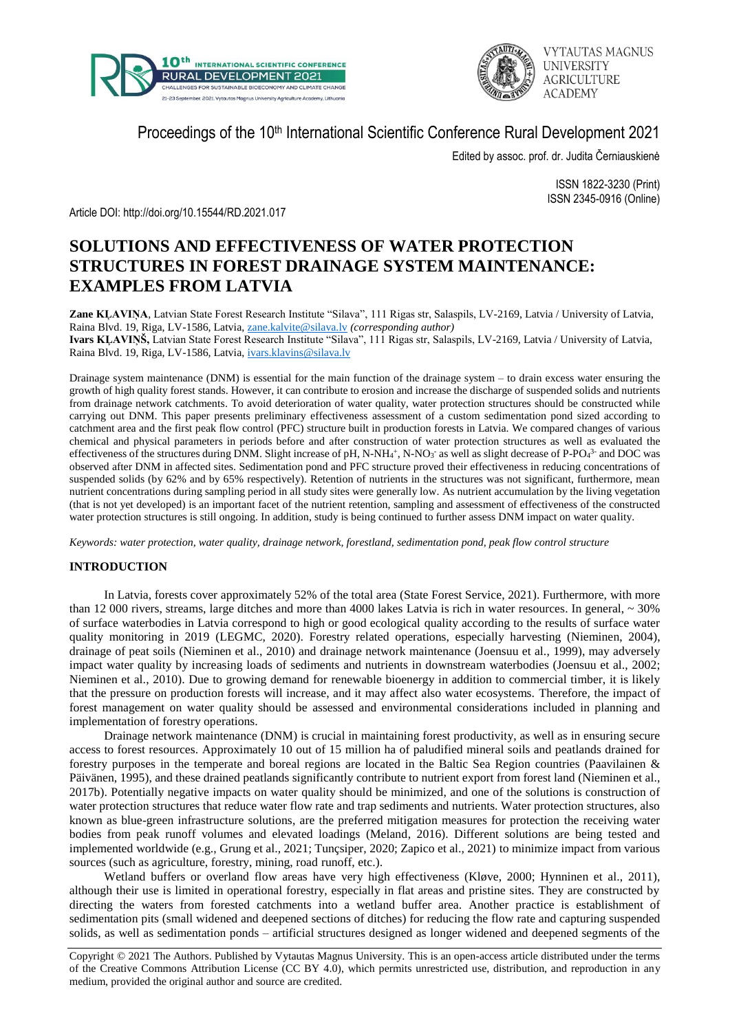



Proceedings of the 10<sup>th</sup> International Scientific Conference Rural Development 2021

Edited by assoc. prof. dr. Judita Černiauskienė

ISSN 1822-3230 (Print) ISSN 2345-0916 (Online)

Article DOI: http://doi.org/10.15544/RD.2021.017

# **SOLUTIONS AND EFFECTIVENESS OF WATER PROTECTION STRUCTURES IN FOREST DRAINAGE SYSTEM MAINTENANCE: EXAMPLES FROM LATVIA**

**Zane KĻAVIŅA**, Latvian State Forest Research Institute "Silava", 111 Rigas str, Salaspils, LV-2169, Latvia / University of Latvia, Raina Blvd. 19, Riga, LV-1586, Latvia, [zane.kalvite@silava.lv](mailto:zane.kalvite@silava.lv) *(corresponding author)* **Ivars KĻAVIŅŠ,** Latvian State Forest Research Institute "Silava", 111 Rigas str, Salaspils, LV-2169, Latvia / University of Latvia, Raina Blvd. 19, Riga, LV-1586, Latvia, [ivars.klavins@silava.lv](mailto:ivars.klavins@silava.lv)

Drainage system maintenance (DNM) is essential for the main function of the drainage system – to drain excess water ensuring the growth of high quality forest stands. However, it can contribute to erosion and increase the discharge of suspended solids and nutrients from drainage network catchments. To avoid deterioration of water quality, water protection structures should be constructed while carrying out DNM. This paper presents preliminary effectiveness assessment of a custom sedimentation pond sized according to catchment area and the first peak flow control (PFC) structure built in production forests in Latvia. We compared changes of various chemical and physical parameters in periods before and after construction of water protection structures as well as evaluated the effectiveness of the structures during DNM. Slight increase of pH, N-NH $_4$ <sup>+</sup>, N-NO<sub>3</sub><sup>-</sup> as well as slight decrease of P-PO $_4$ <sup>3-</sup> and DOC was observed after DNM in affected sites. Sedimentation pond and PFC structure proved their effectiveness in reducing concentrations of suspended solids (by 62% and by 65% respectively). Retention of nutrients in the structures was not significant, furthermore, mean nutrient concentrations during sampling period in all study sites were generally low. As nutrient accumulation by the living vegetation (that is not yet developed) is an important facet of the nutrient retention, sampling and assessment of effectiveness of the constructed water protection structures is still ongoing. In addition, study is being continued to further assess DNM impact on water quality.

*Keywords: water protection, water quality, drainage network, forestland, sedimentation pond, peak flow control structure*

## **INTRODUCTION**

In Latvia, forests cover approximately 52% of the total area (State Forest Service, 2021). Furthermore, with more than 12 000 rivers, streams, large ditches and more than 4000 lakes Latvia is rich in water resources. In general, ~ 30% of surface waterbodies in Latvia correspond to high or good ecological quality according to the results of surface water quality monitoring in 2019 (LEGMC, 2020). Forestry related operations, especially harvesting (Nieminen, 2004), drainage of peat soils (Nieminen et al., 2010) and drainage network maintenance (Joensuu et al., 1999), may adversely impact water quality by increasing loads of sediments and nutrients in downstream waterbodies (Joensuu et al., 2002; Nieminen et al., 2010). Due to growing demand for renewable bioenergy in addition to commercial timber, it is likely that the pressure on production forests will increase, and it may affect also water ecosystems. Therefore, the impact of forest management on water quality should be assessed and environmental considerations included in planning and implementation of forestry operations.

Drainage network maintenance (DNM) is crucial in maintaining forest productivity, as well as in ensuring secure access to forest resources. Approximately 10 out of 15 million ha of paludified mineral soils and peatlands drained for forestry purposes in the temperate and boreal regions are located in the Baltic Sea Region countries (Paavilainen & Päivänen, 1995), and these drained peatlands significantly contribute to nutrient export from forest land (Nieminen et al., 2017b). Potentially negative impacts on water quality should be minimized, and one of the solutions is construction of water protection structures that reduce water flow rate and trap sediments and nutrients. Water protection structures, also known as blue-green infrastructure solutions, are the preferred mitigation measures for protection the receiving water bodies from peak runoff volumes and elevated loadings (Meland, 2016). Different solutions are being tested and implemented worldwide (e.g., Grung et al., 2021; Tunçsiper, 2020; Zapico et al., 2021) to minimize impact from various sources (such as agriculture, forestry, mining, road runoff, etc.).

Wetland buffers or overland flow areas have very high effectiveness (Kløve, 2000; Hynninen et al., 2011), although their use is limited in operational forestry, especially in flat areas and pristine sites. They are constructed by directing the waters from forested catchments into a wetland buffer area. Another practice is establishment of sedimentation pits (small widened and deepened sections of ditches) for reducing the flow rate and capturing suspended solids, as well as sedimentation ponds – artificial structures designed as longer widened and deepened segments of the

Copyright © 2021 The Authors. Published by Vytautas Magnus University. This is an open-access article distributed under the terms of the Creative Commons Attribution License (CC BY 4.0), which permits unrestricted use, distribution, and reproduction in any medium, provided the original author and source are credited.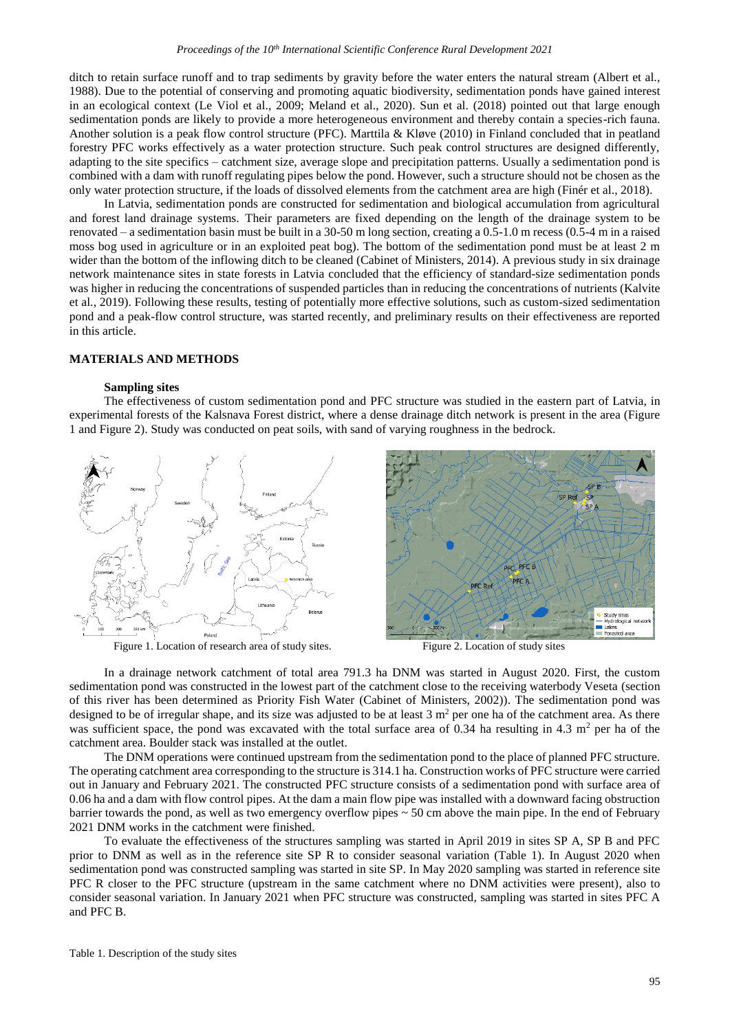ditch to retain surface runoff and to trap sediments by gravity before the water enters the natural stream (Albert et al., 1988). Due to the potential of conserving and promoting aquatic biodiversity, sedimentation ponds have gained interest in an ecological context (Le Viol et al., 2009; Meland et al., 2020). Sun et al. (2018) pointed out that large enough sedimentation ponds are likely to provide a more heterogeneous environment and thereby contain a species-rich fauna. Another solution is a peak flow control structure (PFC). Marttila & Kløve (2010) in Finland concluded that in peatland forestry PFC works effectively as a water protection structure. Such peak control structures are designed differently, adapting to the site specifics – catchment size, average slope and precipitation patterns. Usually a sedimentation pond is combined with a dam with runoff regulating pipes below the pond. However, such a structure should not be chosen as the only water protection structure, if the loads of dissolved elements from the catchment area are high (Finér et al., 2018).

In Latvia, sedimentation ponds are constructed for sedimentation and biological accumulation from agricultural and forest land drainage systems. Their parameters are fixed depending on the length of the drainage system to be renovated – a sedimentation basin must be built in a 30-50 m long section, creating a 0.5-1.0 m recess (0.5-4 m in a raised moss bog used in agriculture or in an exploited peat bog). The bottom of the sedimentation pond must be at least 2 m wider than the bottom of the inflowing ditch to be cleaned (Cabinet of Ministers, 2014). A previous study in six drainage network maintenance sites in state forests in Latvia concluded that the efficiency of standard-size sedimentation ponds was higher in reducing the concentrations of suspended particles than in reducing the concentrations of nutrients (Kalvite et al., 2019). Following these results, testing of potentially more effective solutions, such as custom-sized sedimentation pond and a peak-flow control structure, was started recently, and preliminary results on their effectiveness are reported in this article.

### **MATERIALS AND METHODS**

## **Sampling sites**

The effectiveness of custom sedimentation pond and PFC structure was studied in the eastern part of Latvia, in experimental forests of the Kalsnava Forest district, where a dense drainage ditch network is present in the area (Figure 1 and Figure 2). Study was conducted on peat soils, with sand of varying roughness in the bedrock.



Figure 1. Location of research area of study sites. Figure 2. Location of study sites

In a drainage network catchment of total area 791.3 ha DNM was started in August 2020. First, the custom sedimentation pond was constructed in the lowest part of the catchment close to the receiving waterbody Veseta (section of this river has been determined as Priority Fish Water (Cabinet of Ministers, 2002)). The sedimentation pond was designed to be of irregular shape, and its size was adjusted to be at least  $3 \text{ m}^2$  per one ha of the catchment area. As there was sufficient space, the pond was excavated with the total surface area of 0.34 ha resulting in 4.3  $m<sup>2</sup>$  per ha of the catchment area. Boulder stack was installed at the outlet.

The DNM operations were continued upstream from the sedimentation pond to the place of planned PFC structure. The operating catchment area corresponding to the structure is 314.1 ha. Construction works of PFC structure were carried out in January and February 2021. The constructed PFC structure consists of a sedimentation pond with surface area of 0.06 ha and a dam with flow control pipes. At the dam a main flow pipe was installed with a downward facing obstruction barrier towards the pond, as well as two emergency overflow pipes ~ 50 cm above the main pipe. In the end of February 2021 DNM works in the catchment were finished.

To evaluate the effectiveness of the structures sampling was started in April 2019 in sites SP A, SP B and PFC prior to DNM as well as in the reference site SP R to consider seasonal variation (Table 1). In August 2020 when sedimentation pond was constructed sampling was started in site SP. In May 2020 sampling was started in reference site PFC R closer to the PFC structure (upstream in the same catchment where no DNM activities were present), also to consider seasonal variation. In January 2021 when PFC structure was constructed, sampling was started in sites PFC A and PFC B.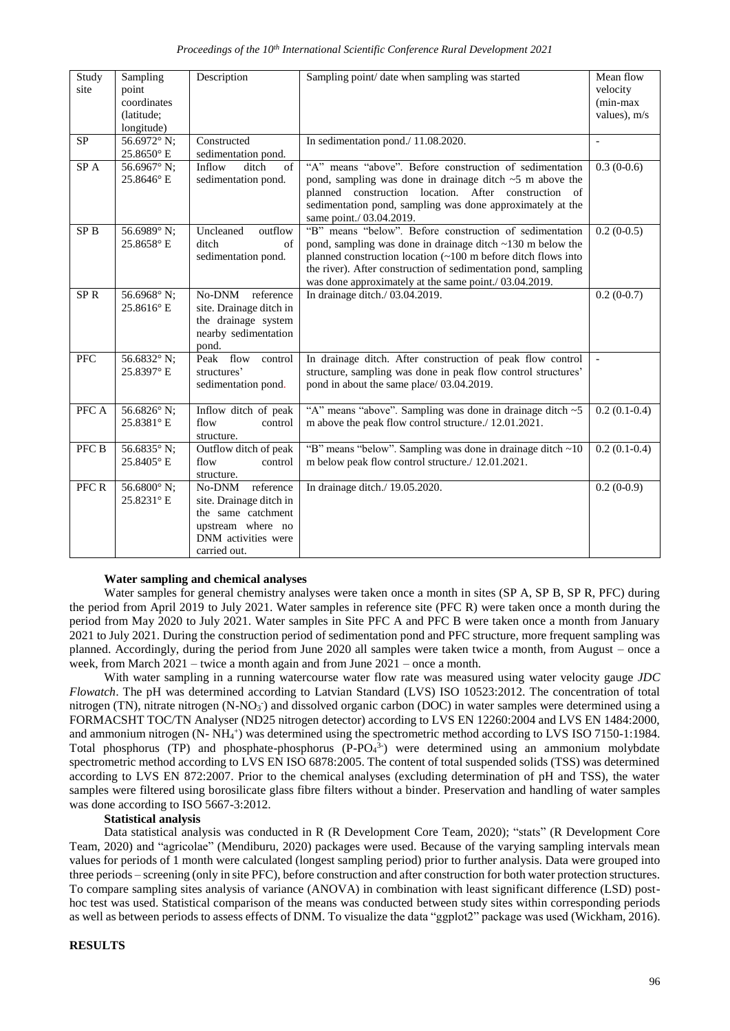| Study<br>site   | Sampling<br>point<br>coordinates<br>(latitude:<br>longitude) | Description                                                                                                                      | Sampling point/ date when sampling was started                                                                                                                                                                                                                                                                           | Mean flow<br>velocity<br>(min-max<br>values), $m/s$ |
|-----------------|--------------------------------------------------------------|----------------------------------------------------------------------------------------------------------------------------------|--------------------------------------------------------------------------------------------------------------------------------------------------------------------------------------------------------------------------------------------------------------------------------------------------------------------------|-----------------------------------------------------|
| <b>SP</b>       | 56.6972° N;<br>25.8650°E                                     | Constructed<br>sedimentation pond.                                                                                               | In sedimentation pond./ 11.08.2020.                                                                                                                                                                                                                                                                                      | $\overline{\phantom{a}}$                            |
| SP A            | 56.6967° N;<br>25.8646°E                                     | Inflow<br>ditch<br>of<br>sedimentation pond.                                                                                     | "A" means "above". Before construction of sedimentation<br>pond, sampling was done in drainage ditch $\sim$ 5 m above the<br>planned construction location. After construction of<br>sedimentation pond, sampling was done approximately at the<br>same point./ 03.04.2019.                                              | $0.3(0-0.6)$                                        |
| SP <sub>B</sub> | 56.6989° N;<br>25.8658°E                                     | Uncleaned<br>outflow<br>ditch<br>of<br>sedimentation pond.                                                                       | "B" means "below". Before construction of sedimentation<br>pond, sampling was done in drainage ditch $\sim$ 130 m below the<br>planned construction location (~100 m before ditch flows into<br>the river). After construction of sedimentation pond, sampling<br>was done approximately at the same point./ 03.04.2019. | $0.2(0-0.5)$                                        |
| SP <sub>R</sub> | 56.6968° N;<br>25.8616°E                                     | No-DNM reference<br>site. Drainage ditch in<br>the drainage system<br>nearby sedimentation<br>pond.                              | In drainage ditch./ 03.04.2019.                                                                                                                                                                                                                                                                                          | $0.2(0-0.7)$                                        |
| <b>PFC</b>      | 56.6832 $\degree$ N;<br>25.8397°E                            | Peak flow<br>control<br>structures'<br>sedimentation pond.                                                                       | In drainage ditch. After construction of peak flow control<br>structure, sampling was done in peak flow control structures'<br>pond in about the same place/ 03.04.2019.                                                                                                                                                 | $\sim$                                              |
| PFC A           | 56.6826° N;<br>25.8381°E                                     | Inflow ditch of peak<br>flow<br>control<br>structure.                                                                            | "A" means "above". Sampling was done in drainage ditch ~5<br>m above the peak flow control structure./ 12.01.2021.                                                                                                                                                                                                       | $0.2(0.1-0.4)$                                      |
| PFC B           | 56.6835° N;<br>25.8405°E                                     | Outflow ditch of peak<br>flow<br>control<br>structure.                                                                           | "B" means "below". Sampling was done in drainage ditch ~10<br>m below peak flow control structure./ 12.01.2021.                                                                                                                                                                                                          | $0.2(0.1-0.4)$                                      |
| PFC R           | 56.6800 $^{\circ}$ N;<br>25.8231°E                           | reference<br>No-DNM<br>site. Drainage ditch in<br>the same catchment<br>upstream where no<br>DNM activities were<br>carried out. | In drainage ditch./ 19.05.2020.                                                                                                                                                                                                                                                                                          | $0.2(0-0.9)$                                        |

### **Water sampling and chemical analyses**

Water samples for general chemistry analyses were taken once a month in sites (SP A, SP B, SP R, PFC) during the period from April 2019 to July 2021. Water samples in reference site (PFC R) were taken once a month during the period from May 2020 to July 2021. Water samples in Site PFC A and PFC B were taken once a month from January 2021 to July 2021. During the construction period of sedimentation pond and PFC structure, more frequent sampling was planned. Accordingly, during the period from June 2020 all samples were taken twice a month, from August – once a week, from March 2021 – twice a month again and from June 2021 – once a month.

With water sampling in a running watercourse water flow rate was measured using water velocity gauge *JDC Flowatch*. The pH was determined according to Latvian Standard (LVS) ISO 10523:2012. The concentration of total nitrogen (TN), nitrate nitrogen (N-NO<sub>3</sub><sup>)</sup> and dissolved organic carbon (DOC) in water samples were determined using a FORMACSHT TOC/TN Analyser (ND25 nitrogen detector) according to LVS EN 12260:2004 and LVS EN 1484:2000, and ammonium nitrogen (N- NH<sub>4</sub><sup>+</sup>) was determined using the spectrometric method according to LVS ISO 7150-1:1984. Total phosphorus (TP) and phosphate-phosphorus (P-PO<sub>4</sub><sup>3-</sup>) were determined using an ammonium molybdate spectrometric method according to LVS EN ISO 6878:2005. The content of total suspended solids (TSS) was determined according to LVS EN 872:2007. Prior to the chemical analyses (excluding determination of pH and TSS), the water samples were filtered using borosilicate glass fibre filters without a binder. Preservation and handling of water samples was done according to ISO 5667-3:2012.

### **Statistical analysis**

Data statistical analysis was conducted in R (R Development Core Team, 2020); "stats" (R Development Core Team, 2020) and "agricolae" (Mendiburu, 2020) packages were used. Because of the varying sampling intervals mean values for periods of 1 month were calculated (longest sampling period) prior to further analysis. Data were grouped into three periods – screening (only in site PFC), before construction and after construction for both water protection structures. To compare sampling sites analysis of variance (ANOVA) in combination with least significant difference (LSD) posthoc test was used. Statistical comparison of the means was conducted between study sites within corresponding periods as well as between periods to assess effects of DNM. To visualize the data "ggplot2" package was used (Wickham, 2016).

### **RESULTS**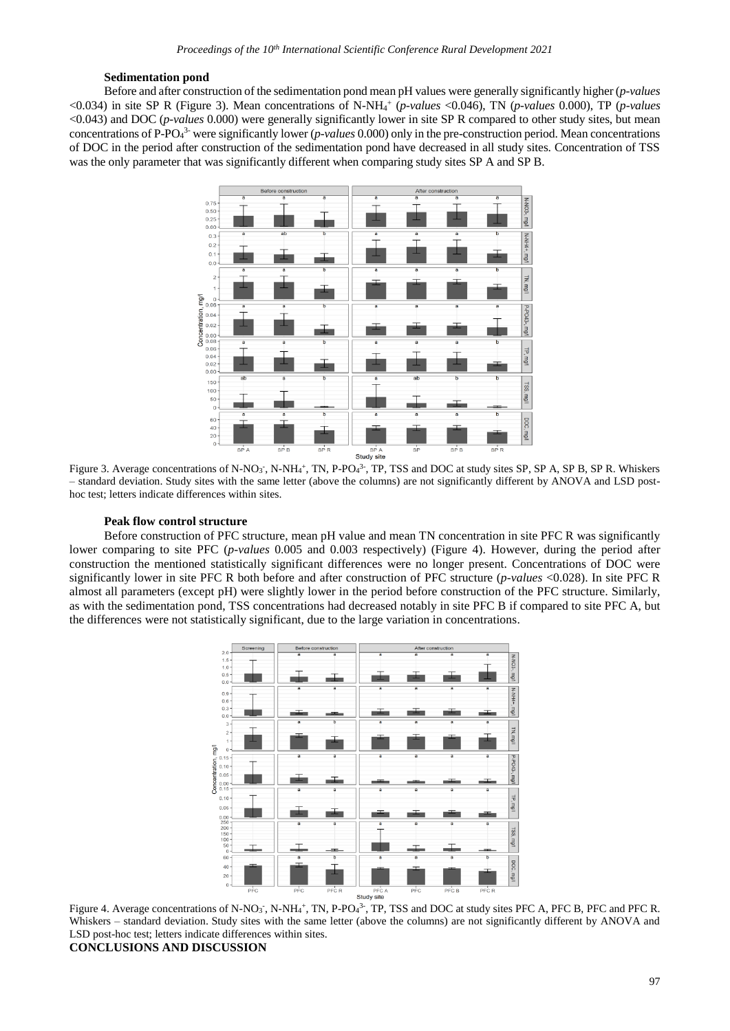#### **Sedimentation pond**

Before and after construction of the sedimentation pond mean pH values were generally significantly higher (*p-values* <0.034) in site SP R (Figure 3). Mean concentrations of N-NH<sup>4</sup> + (*p-values* <0.046), TN (*p-values* 0.000), TP (*p-values* <0.043) and DOC (*p-values* 0.000) were generally significantly lower in site SP R compared to other study sites, but mean concentrations of P-PO<sup>4</sup> 3- were significantly lower (*p-values* 0.000) only in the pre-construction period. Mean concentrations of DOC in the period after construction of the sedimentation pond have decreased in all study sites. Concentration of TSS was the only parameter that was significantly different when comparing study sites SP A and SP B.



Figure 3. Average concentrations of N-NO<sub>3</sub>, N-NH<sub>4</sub>+, TN, P-PO<sub>4</sub><sup>3</sup>-, TP, TSS and DOC at study sites SP, SP A, SP B, SP R. Whiskers – standard deviation. Study sites with the same letter (above the columns) are not significantly different by ANOVA and LSD posthoc test; letters indicate differences within sites.

### **Peak flow control structure**

Before construction of PFC structure, mean pH value and mean TN concentration in site PFC R was significantly lower comparing to site PFC (*p-values* 0.005 and 0.003 respectively) (Figure 4). However, during the period after construction the mentioned statistically significant differences were no longer present. Concentrations of DOC were significantly lower in site PFC R both before and after construction of PFC structure (*p-values* <0.028). In site PFC R almost all parameters (except pH) were slightly lower in the period before construction of the PFC structure. Similarly, as with the sedimentation pond, TSS concentrations had decreased notably in site PFC B if compared to site PFC A, but the differences were not statistically significant, due to the large variation in concentrations.



Figure 4. Average concentrations of N-NO<sub>3</sub>, N-NH<sub>4</sub>+, TN, P-PO<sub>4</sub><sup>3</sup>, TP, TSS and DOC at study sites PFC A, PFC B, PFC and PFC R. Whiskers – standard deviation. Study sites with the same letter (above the columns) are not significantly different by ANOVA and LSD post-hoc test; letters indicate differences within sites. **CONCLUSIONS AND DISCUSSION**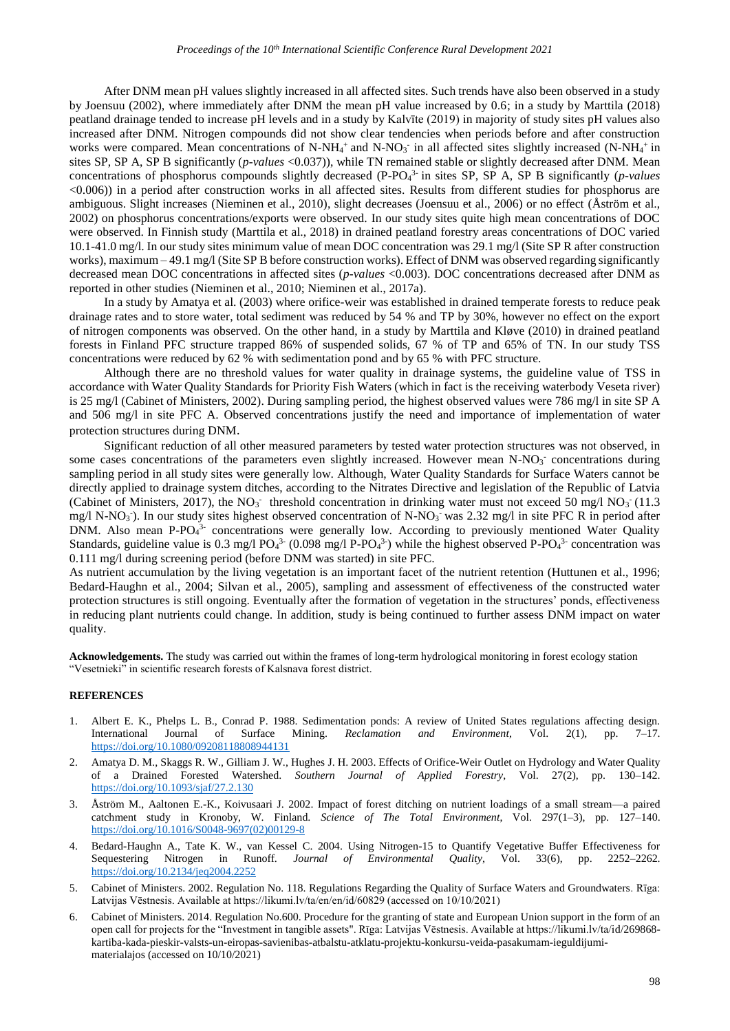After DNM mean pH values slightly increased in all affected sites. Such trends have also been observed in a study by Joensuu (2002), where immediately after DNM the mean pH value increased by 0.6; in a study by Marttila (2018) peatland drainage tended to increase pH levels and in a study by Kalvīte (2019) in majority of study sites pH values also increased after DNM. Nitrogen compounds did not show clear tendencies when periods before and after construction works were compared. Mean concentrations of N-NH<sub>4</sub><sup>+</sup> and N-NO<sub>3</sub><sup>-</sup> in all affected sites slightly increased (N-NH<sub>4</sub><sup>+</sup> in sites SP, SP A, SP B significantly (*p-values* <0.037)), while TN remained stable or slightly decreased after DNM. Mean concentrations of phosphorus compounds slightly decreased (P-PO<sub>4</sub><sup>3</sup> in sites SP, SP A, SP B significantly (*p-values* <0.006)) in a period after construction works in all affected sites. Results from different studies for phosphorus are ambiguous. Slight increases (Nieminen et al., 2010), slight decreases (Joensuu et al., 2006) or no effect (Åström et al., 2002) on phosphorus concentrations/exports were observed. In our study sites quite high mean concentrations of DOC were observed. In Finnish study (Marttila et al., 2018) in drained peatland forestry areas concentrations of DOC varied 10.1-41.0 mg/l. In our study sites minimum value of mean DOC concentration was 29.1 mg/l (Site SP R after construction works), maximum – 49.1 mg/l (Site SP B before construction works). Effect of DNM was observed regarding significantly decreased mean DOC concentrations in affected sites (*p-values* <0.003). DOC concentrations decreased after DNM as reported in other studies (Nieminen et al., 2010; Nieminen et al., 2017a).

In a study by Amatya et al. (2003) where orifice-weir was established in drained temperate forests to reduce peak drainage rates and to store water, total sediment was reduced by 54 % and TP by 30%, however no effect on the export of nitrogen components was observed. On the other hand, in a study by Marttila and Kløve (2010) in drained peatland forests in Finland PFC structure trapped 86% of suspended solids, 67 % of TP and 65% of TN. In our study TSS concentrations were reduced by 62 % with sedimentation pond and by 65 % with PFC structure.

Although there are no threshold values for water quality in drainage systems, the guideline value of TSS in accordance with Water Quality Standards for Priority Fish Waters (which in fact is the receiving waterbody Veseta river) is 25 mg/l (Cabinet of Ministers, 2002). During sampling period, the highest observed values were 786 mg/l in site SP A and 506 mg/l in site PFC A. Observed concentrations justify the need and importance of implementation of water protection structures during DNM.

Significant reduction of all other measured parameters by tested water protection structures was not observed, in some cases concentrations of the parameters even slightly increased. However mean N-NO<sub>3</sub> concentrations during sampling period in all study sites were generally low. Although, Water Quality Standards for Surface Waters cannot be directly applied to drainage system ditches, according to the Nitrates Directive and legislation of the Republic of Latvia (Cabinet of Ministers, 2017), the NO<sub>3</sub> threshold concentration in drinking water must not exceed 50 mg/l NO<sub>3</sub> (11.3) mg/l N-NO<sub>3</sub><sup>-</sup>). In our study sites highest observed concentration of N-NO<sub>3</sub><sup>-</sup> was 2.32 mg/l in site PFC R in period after DNM. Also mean P-PO $4^{3-}$  concentrations were generally low. According to previously mentioned Water Quality Standards, guideline value is 0.3 mg/l  $PO_4^{3-}$  (0.098 mg/l P-PO<sub>4</sub>3<sup>-</sup>) while the highest observed P-PO<sub>4</sub><sup>3-</sup> concentration was 0.111 mg/l during screening period (before DNM was started) in site PFC.

As nutrient accumulation by the living vegetation is an important facet of the nutrient retention (Huttunen et al., 1996; Bedard-Haughn et al., 2004; Silvan et al., 2005), sampling and assessment of effectiveness of the constructed water protection structures is still ongoing. Eventually after the formation of vegetation in the structures' ponds, effectiveness in reducing plant nutrients could change. In addition, study is being continued to further assess DNM impact on water quality.

**Acknowledgements.** The study was carried out within the frames of long-term hydrological monitoring in forest ecology station "Vesetnieki" in scientific research forests of Kalsnava forest district.

#### **REFERENCES**

- 1. Albert E. K., Phelps L. B., Conrad P. 1988. Sedimentation ponds: A review of United States regulations affecting design.<br>
International Journal of Surface Mining. *Reclamation and Environment*, Vol. 2(1), pp. 7–17. International Journal of Surface Mining. *Reclamation and Environment*, Vol. 2(1), pp. <https://doi.org/10.1080/09208118808944131>
- 2. Amatya D. M., Skaggs R. W., Gilliam J. W., Hughes J. H. 2003. Effects of Orifice-Weir Outlet on Hydrology and Water Quality of a Drained Forested Watershed. *Southern Journal of Applied Forestry*, Vol. 27(2), pp. 130–142. <https://doi.org/10.1093/sjaf/27.2.130>
- 3. Åström M., Aaltonen E.-K., Koivusaari J. 2002. Impact of forest ditching on nutrient loadings of a small stream—a paired catchment study in Kronoby, W. Finland. *Science of The Total Environment*, Vol. 297(1–3), pp. 127–140. [https://doi.org/10.1016/S0048-9697\(02\)00129-8](https://doi.org/10.1016/S0048-9697(02)00129-8)
- 4. Bedard-Haughn A., Tate K. W., van Kessel C. 2004. Using Nitrogen-15 to Quantify Vegetative Buffer Effectiveness for Sequestering Nitrogen in Runoff. *Journal of Environmental Quality*, Vol. 33(6), pp. 2252–2262. <https://doi.org/10.2134/jeq2004.2252>
- 5. Cabinet of Ministers. 2002. Regulation No. 118. Regulations Regarding the Quality of Surface Waters and Groundwaters. Rīga: Latvijas Vēstnesis. Available at https://likumi.lv/ta/en/en/id/60829 (accessed on 10/10/2021)
- 6. Cabinet of Ministers. 2014. Regulation No.600. Procedure for the granting of state and European Union support in the form of an open call for projects for the "Investment in tangible assets". Rīga: Latvijas Vēstnesis. Available at https://likumi.lv/ta/id/269868 kartiba-kada-pieskir-valsts-un-eiropas-savienibas-atbalstu-atklatu-projektu-konkursu-veida-pasakumam-ieguldijumimaterialajos (accessed on 10/10/2021)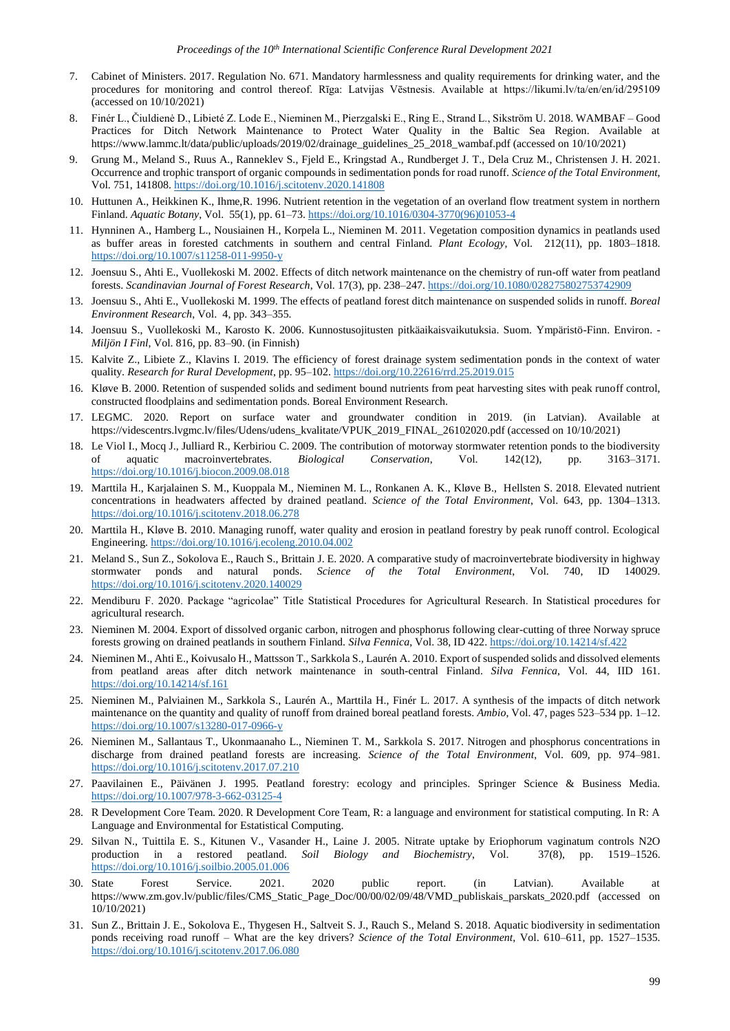- 7. Cabinet of Ministers. 2017. Regulation No. 671. Mandatory harmlessness and quality requirements for drinking water, and the procedures for monitoring and control thereof. Rīga: Latvijas Vēstnesis. Available at https://likumi.lv/ta/en/en/id/295109 (accessed on 10/10/2021)
- 8. Finér L., Čiuldienė D., Libieté Z. Lode E., Nieminen M., Pierzgalski E., Ring E., Strand L., Sikström U. 2018. WAMBAF Good Practices for Ditch Network Maintenance to Protect Water Quality in the Baltic Sea Region. Available at https://www.lammc.lt/data/public/uploads/2019/02/drainage\_guidelines\_25\_2018\_wambaf.pdf (accessed on 10/10/2021)
- 9. Grung M., Meland S., Ruus A., Ranneklev S., Fjeld E., Kringstad A., Rundberget J. T., Dela Cruz M., Christensen J. H. 2021. Occurrence and trophic transport of organic compounds in sedimentation ponds for road runoff. *Science of the Total Environment*, Vol. 751, 141808. <https://doi.org/10.1016/j.scitotenv.2020.141808>
- 10. Huttunen A., Heikkinen K., Ihme,R. 1996. Nutrient retention in the vegetation of an overland flow treatment system in northern Finland. *Aquatic Botany*, Vol. 55(1), pp. 61–73. [https://doi.org/10.1016/0304-3770\(96\)01053-4](https://doi.org/10.1016/0304-3770(96)01053-4)
- 11. Hynninen A., Hamberg L., Nousiainen H., Korpela L., Nieminen M. 2011. Vegetation composition dynamics in peatlands used as buffer areas in forested catchments in southern and central Finland. *Plant Ecology*, Vol. 212(11), pp. 1803–1818. <https://doi.org/10.1007/s11258-011-9950-y>
- 12. Joensuu S., Ahti E., Vuollekoski M. 2002. Effects of ditch network maintenance on the chemistry of run-off water from peatland forests. *Scandinavian Journal of Forest Research*, Vol. 17(3), pp. 238–247. <https://doi.org/10.1080/028275802753742909>
- 13. Joensuu S., Ahti E., Vuollekoski M. 1999. The effects of peatland forest ditch maintenance on suspended solids in runoff. *Boreal Environment Research*, Vol. 4, pp. 343–355.
- 14. Joensuu S., Vuollekoski M., Karosto K. 2006. Kunnostusojitusten pitkäaikaisvaikutuksia. Suom. Ympäristö-Finn. Environ. *Miljön I Finl*, Vol. 816, pp. 83–90. (in Finnish)
- 15. Kalvite Z., Libiete Z., Klavins I. 2019. The efficiency of forest drainage system sedimentation ponds in the context of water quality. *Research for Rural Development*, pp. 95–102. <https://doi.org/10.22616/rrd.25.2019.015>
- 16. Kløve B. 2000. Retention of suspended solids and sediment bound nutrients from peat harvesting sites with peak runoff control, constructed floodplains and sedimentation ponds. Boreal Environment Research.
- 17. LEGMC. 2020. Report on surface water and groundwater condition in 2019. (in Latvian). Available at https://videscentrs.lvgmc.lv/files/Udens/udens\_kvalitate/VPUK\_2019\_FINAL\_26102020.pdf (accessed on 10/10/2021)
- 18. Le Viol I., Mocq J., Julliard R., Kerbiriou C. 2009. The contribution of motorway stormwater retention ponds to the biodiversity of aquatic macroinvertebrates. *Biological Conservation*, Vol. 142(12), pp. 3163–3171. <https://doi.org/10.1016/j.biocon.2009.08.018>
- 19. Marttila H., Karjalainen S. M., Kuoppala M., Nieminen M. L., Ronkanen A. K., Kløve B., Hellsten S. 2018. Elevated nutrient concentrations in headwaters affected by drained peatland. *Science of the Total Environment*, Vol. 643, pp. 1304–1313. <https://doi.org/10.1016/j.scitotenv.2018.06.278>
- 20. Marttila H., Kløve B. 2010. Managing runoff, water quality and erosion in peatland forestry by peak runoff control. Ecological Engineering. <https://doi.org/10.1016/j.ecoleng.2010.04.002>
- 21. Meland S., Sun Z., Sokolova E., Rauch S., Brittain J. E. 2020. A comparative study of macroinvertebrate biodiversity in highway stormwater ponds and natural ponds. *Science of the Total Environment*, Vol. 740, ID 140029. <https://doi.org/10.1016/j.scitotenv.2020.140029>
- 22. Mendiburu F. 2020. Package "agricolae" Title Statistical Procedures for Agricultural Research. In Statistical procedures for agricultural research.
- 23. Nieminen M. 2004. Export of dissolved organic carbon, nitrogen and phosphorus following clear-cutting of three Norway spruce forests growing on drained peatlands in southern Finland. *Silva Fennica*, Vol. 38, ID 422. <https://doi.org/10.14214/sf.422>
- 24. Nieminen M., Ahti E., Koivusalo H., Mattsson T., Sarkkola S., Laurén A. 2010. Export of suspended solids and dissolved elements from peatland areas after ditch network maintenance in south-central Finland. *Silva Fennica*, Vol. 44, IID 161. <https://doi.org/10.14214/sf.161>
- 25. Nieminen M., Palviainen M., Sarkkola S., Laurén A., Marttila H., Finér L. 2017. A synthesis of the impacts of ditch network maintenance on the quantity and quality of runoff from drained boreal peatland forests. *Ambio*, Vol. 47, pages 523–534 pp. 1–12. <https://doi.org/10.1007/s13280-017-0966-y>
- 26. Nieminen M., Sallantaus T., Ukonmaanaho L., Nieminen T. M., Sarkkola S. 2017. Nitrogen and phosphorus concentrations in discharge from drained peatland forests are increasing. *Science of the Total Environment*, Vol. 609, pp. 974–981. <https://doi.org/10.1016/j.scitotenv.2017.07.210>
- 27. Paavilainen E., Päivänen J. 1995. Peatland forestry: ecology and principles. Springer Science & Business Media. <https://doi.org/10.1007/978-3-662-03125-4>
- 28. R Development Core Team. 2020. R Development Core Team, R: a language and environment for statistical computing. In R: A Language and Environmental for Estatistical Computing.
- 29. Silvan N., Tuittila E. S., Kitunen V., Vasander H., Laine J. 2005. Nitrate uptake by Eriophorum vaginatum controls N2O production in a restored peatland. *Soil Biology and Biochemistry*, Vol. 37(8), pp. 1519–1526. <https://doi.org/10.1016/j.soilbio.2005.01.006>
- 30. State Forest Service. 2021. 2020 public report. (in Latvian). Available at https://www.zm.gov.lv/public/files/CMS\_Static\_Page\_Doc/00/00/02/09/48/VMD\_publiskais\_parskats\_2020.pdf (accessed on 10/10/2021)
- 31. Sun Z., Brittain J. E., Sokolova E., Thygesen H., Saltveit S. J., Rauch S., Meland S. 2018. Aquatic biodiversity in sedimentation ponds receiving road runoff – What are the key drivers? *Science of the Total Environment*, Vol. 610–611, pp. 1527–1535. <https://doi.org/10.1016/j.scitotenv.2017.06.080>